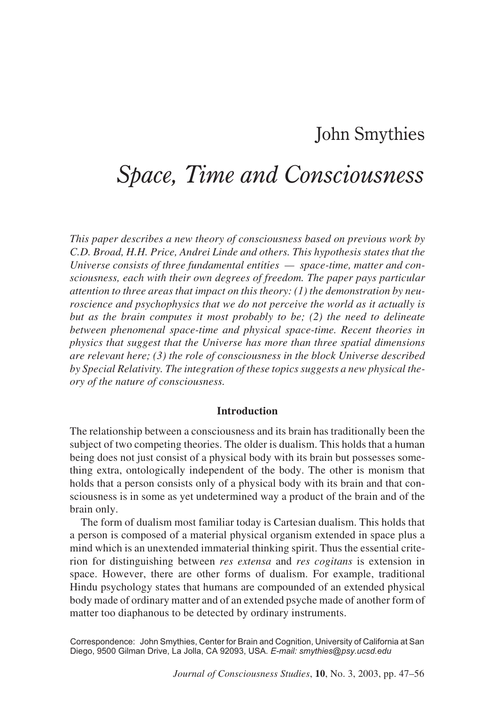# John Smythies

# *Space, Time and Consciousness*

*This paper describes a new theory of consciousness based on previous work by C.D. Broad, H.H. Price, Andrei Linde and others. This hypothesis states that the Universe consists of three fundamental entities — space-time, matter and consciousness, each with their own degrees of freedom. The paper pays particular attention to three areas that impact on this theory: (1) the demonstration by neuroscience and psychophysics that we do not perceive the world as it actually is but as the brain computes it most probably to be; (2) the need to delineate between phenomenal space-time and physical space-time. Recent theories in physics that suggest that the Universe has more than three spatial dimensions are relevant here; (3) the role of consciousness in the block Universe described by Special Relativity. The integration of these topics suggests a new physical theory of the nature of consciousness.*

#### **Introduction**

The relationship between a consciousness and its brain has traditionally been the subject of two competing theories. The older is dualism. This holds that a human being does not just consist of a physical body with its brain but possesses something extra, ontologically independent of the body. The other is monism that holds that a person consists only of a physical body with its brain and that consciousness is in some as yet undetermined way a product of the brain and of the brain only.

The form of dualism most familiar today is Cartesian dualism. This holds that a person is composed of a material physical organism extended in space plus a mind which is an unextended immaterial thinking spirit. Thus the essential criterion for distinguishing between *res extensa* and *res cogitans* is extension in space. However, there are other forms of dualism. For example, traditional Hindu psychology states that humans are compounded of an extended physical body made of ordinary matter and of an extended psyche made of another form of matter too diaphanous to be detected by ordinary instruments.

Correspondence: John Smythies, Center for Brain and Cognition, University of California at San Diego, 9500 Gilman Drive, La Jolla, CA 92093, USA. *E-mail: smythies@psy.ucsd.edu*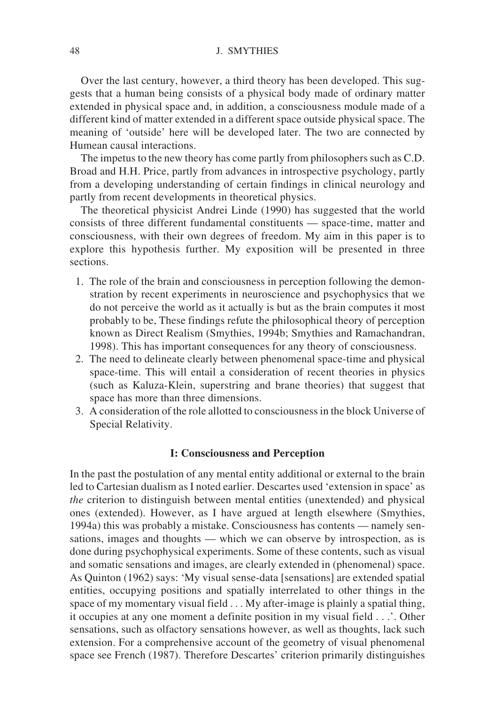Over the last century, however, a third theory has been developed. This suggests that a human being consists of a physical body made of ordinary matter extended in physical space and, in addition, a consciousness module made of a different kind of matter extended in a different space outside physical space. The meaning of 'outside' here will be developed later. The two are connected by Humean causal interactions.

The impetus to the new theory has come partly from philosophers such as C.D. Broad and H.H. Price, partly from advances in introspective psychology, partly from a developing understanding of certain findings in clinical neurology and partly from recent developments in theoretical physics.

The theoretical physicist Andrei Linde (1990) has suggested that the world consists of three different fundamental constituents — space-time, matter and consciousness, with their own degrees of freedom. My aim in this paper is to explore this hypothesis further. My exposition will be presented in three sections.

- 1. The role of the brain and consciousness in perception following the demonstration by recent experiments in neuroscience and psychophysics that we do not perceive the world as it actually is but as the brain computes it most probably to be, These findings refute the philosophical theory of perception known as Direct Realism (Smythies, 1994b; Smythies and Ramachandran, 1998). This has important consequences for any theory of consciousness.
- 2. The need to delineate clearly between phenomenal space-time and physical space-time. This will entail a consideration of recent theories in physics (such as Kaluza-Klein, superstring and brane theories) that suggest that space has more than three dimensions.
- 3. A consideration of the role allotted to consciousness in the block Universe of Special Relativity.

#### **I: Consciousness and Perception**

In the past the postulation of any mental entity additional or external to the brain led to Cartesian dualism as I noted earlier. Descartes used 'extension in space' as *the* criterion to distinguish between mental entities (unextended) and physical ones (extended). However, as I have argued at length elsewhere (Smythies, 1994a) this was probably a mistake. Consciousness has contents — namely sensations, images and thoughts — which we can observe by introspection, as is done during psychophysical experiments. Some of these contents, such as visual and somatic sensations and images, are clearly extended in (phenomenal) space. As Quinton (1962) says: 'My visual sense-data [sensations] are extended spatial entities, occupying positions and spatially interrelated to other things in the space of my momentary visual field . . . My after-image is plainly a spatial thing, it occupies at any one moment a definite position in my visual field . . .'. Other sensations, such as olfactory sensations however, as well as thoughts, lack such extension. For a comprehensive account of the geometry of visual phenomenal space see French (1987). Therefore Descartes' criterion primarily distinguishes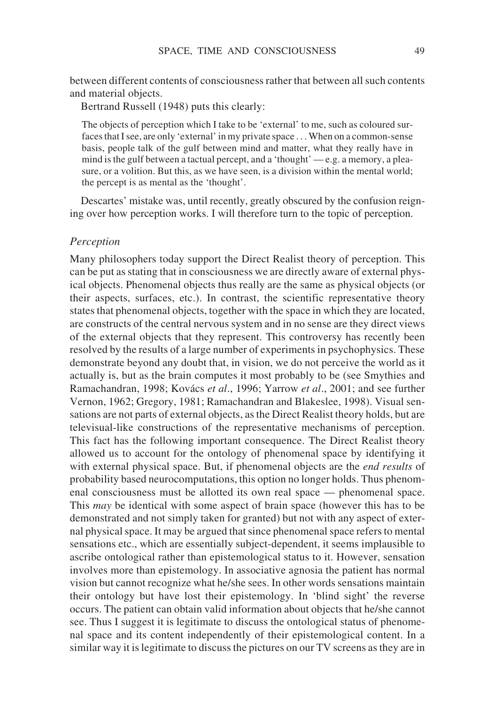between different contents of consciousness rather that between all such contents and material objects.

Bertrand Russell (1948) puts this clearly:

The objects of perception which I take to be 'external' to me, such as coloured surfaces that I see, are only 'external' in my private space... When on a common-sense basis, people talk of the gulf between mind and matter, what they really have in mind is the gulf between a tactual percept, and a 'thought' — e.g. a memory, a pleasure, or a volition. But this, as we have seen, is a division within the mental world; the percept is as mental as the 'thought'.

Descartes' mistake was, until recently, greatly obscured by the confusion reigning over how perception works. I will therefore turn to the topic of perception.

### *Perception*

Many philosophers today support the Direct Realist theory of perception. This can be put as stating that in consciousness we are directly aware of external physical objects. Phenomenal objects thus really are the same as physical objects (or their aspects, surfaces, etc.). In contrast, the scientific representative theory states that phenomenal objects, together with the space in which they are located, are constructs of the central nervous system and in no sense are they direct views of the external objects that they represent. This controversy has recently been resolved by the results of a large number of experiments in psychophysics. These demonstrate beyond any doubt that, in vision, we do not perceive the world as it actually is, but as the brain computes it most probably to be (see Smythies and Ramachandran, 1998; Kovács *et al*., 1996; Yarrow *et al*., 2001; and see further Vernon, 1962; Gregory, 1981; Ramachandran and Blakeslee, 1998). Visual sensations are not parts of external objects, as the Direct Realist theory holds, but are televisual-like constructions of the representative mechanisms of perception. This fact has the following important consequence. The Direct Realist theory allowed us to account for the ontology of phenomenal space by identifying it with external physical space. But, if phenomenal objects are the *end results* of probability based neurocomputations, this option no longer holds. Thus phenomenal consciousness must be allotted its own real space — phenomenal space. This *may* be identical with some aspect of brain space (however this has to be demonstrated and not simply taken for granted) but not with any aspect of external physical space. It may be argued that since phenomenal space refers to mental sensations etc., which are essentially subject-dependent, it seems implausible to ascribe ontological rather than epistemological status to it. However, sensation involves more than epistemology. In associative agnosia the patient has normal vision but cannot recognize what he/she sees. In other words sensations maintain their ontology but have lost their epistemology. In 'blind sight' the reverse occurs. The patient can obtain valid information about objects that he/she cannot see. Thus I suggest it is legitimate to discuss the ontological status of phenomenal space and its content independently of their epistemological content. In a similar way it is legitimate to discuss the pictures on our TV screens as they are in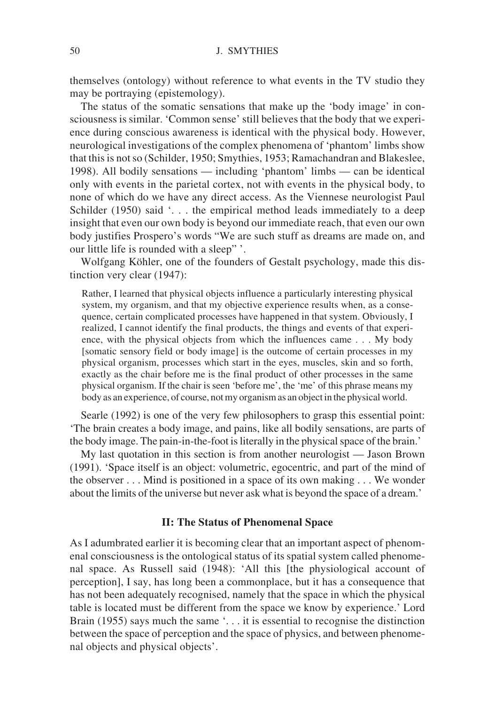themselves (ontology) without reference to what events in the TV studio they may be portraying (epistemology).

The status of the somatic sensations that make up the 'body image' in consciousness is similar. 'Common sense' still believes that the body that we experience during conscious awareness is identical with the physical body. However, neurological investigations of the complex phenomena of 'phantom' limbs show that this is not so (Schilder, 1950; Smythies, 1953; Ramachandran and Blakeslee, 1998). All bodily sensations — including 'phantom' limbs — can be identical only with events in the parietal cortex, not with events in the physical body, to none of which do we have any direct access. As the Viennese neurologist Paul Schilder (1950) said '... the empirical method leads immediately to a deep insight that even our own body is beyond our immediate reach, that even our own body justifies Prospero's words "We are such stuff as dreams are made on, and our little life is rounded with a sleep" '.

Wolfgang Köhler, one of the founders of Gestalt psychology, made this distinction very clear (1947):

Rather, I learned that physical objects influence a particularly interesting physical system, my organism, and that my objective experience results when, as a consequence, certain complicated processes have happened in that system. Obviously, I realized, I cannot identify the final products, the things and events of that experience, with the physical objects from which the influences came . . . My body [somatic sensory field or body image] is the outcome of certain processes in my physical organism, processes which start in the eyes, muscles, skin and so forth, exactly as the chair before me is the final product of other processes in the same physical organism. If the chair is seen 'before me', the 'me' of this phrase means my body as an experience, of course, not my organism as an object in the physical world.

Searle (1992) is one of the very few philosophers to grasp this essential point: 'The brain creates a body image, and pains, like all bodily sensations, are parts of the body image. The pain-in-the-foot is literally in the physical space of the brain.'

My last quotation in this section is from another neurologist — Jason Brown (1991). 'Space itself is an object: volumetric, egocentric, and part of the mind of the observer... Mind is positioned in a space of its own making . . . We wonder about the limits of the universe but never ask what is beyond the space of a dream.'

#### **II: The Status of Phenomenal Space**

As I adumbrated earlier it is becoming clear that an important aspect of phenomenal consciousness is the ontological status of its spatial system called phenomenal space. As Russell said (1948): 'All this [the physiological account of perception], I say, has long been a commonplace, but it has a consequence that has not been adequately recognised, namely that the space in which the physical table is located must be different from the space we know by experience.' Lord Brain (1955) says much the same '. . . it is essential to recognise the distinction between the space of perception and the space of physics, and between phenomenal objects and physical objects'.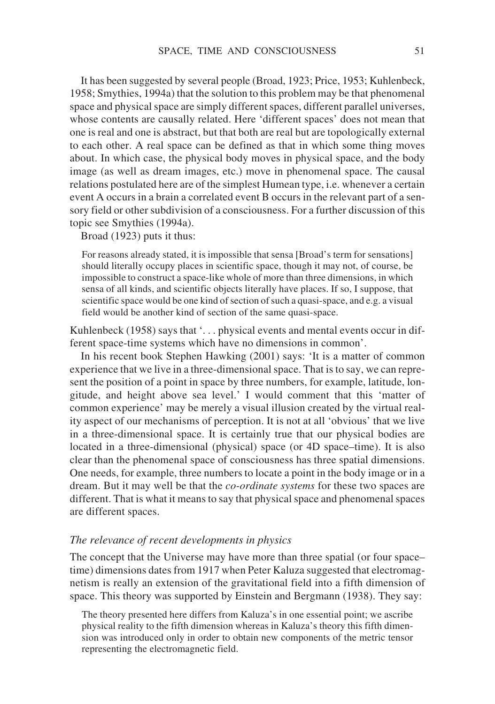It has been suggested by several people (Broad, 1923; Price, 1953; Kuhlenbeck, 1958; Smythies, 1994a) that the solution to this problem may be that phenomenal space and physical space are simply different spaces, different parallel universes, whose contents are causally related. Here 'different spaces' does not mean that one is real and one is abstract, but that both are real but are topologically external to each other. A real space can be defined as that in which some thing moves about. In which case, the physical body moves in physical space, and the body image (as well as dream images, etc.) move in phenomenal space. The causal relations postulated here are of the simplest Humean type, i.e. whenever a certain event A occurs in a brain a correlated event B occurs in the relevant part of a sensory field or other subdivision of a consciousness. For a further discussion of this topic see Smythies (1994a).

Broad (1923) puts it thus:

For reasons already stated, it is impossible that sensa [Broad's term for sensations] should literally occupy places in scientific space, though it may not, of course, be impossible to construct a space-like whole of more than three dimensions, in which sensa of all kinds, and scientific objects literally have places. If so, I suppose, that scientific space would be one kind of section of such a quasi-space, and e.g. a visual field would be another kind of section of the same quasi-space.

Kuhlenbeck (1958) says that '... physical events and mental events occur in different space-time systems which have no dimensions in common'.

In his recent book Stephen Hawking (2001) says: 'It is a matter of common experience that we live in a three-dimensional space. That is to say, we can represent the position of a point in space by three numbers, for example, latitude, longitude, and height above sea level.' I would comment that this 'matter of common experience' may be merely a visual illusion created by the virtual reality aspect of our mechanisms of perception. It is not at all 'obvious' that we live in a three-dimensional space. It is certainly true that our physical bodies are located in a three-dimensional (physical) space (or 4D space–time). It is also clear than the phenomenal space of consciousness has three spatial dimensions. One needs, for example, three numbers to locate a point in the body image or in a dream. But it may well be that the *co-ordinate systems* for these two spaces are different. That is what it means to say that physical space and phenomenal spaces are different spaces.

#### *The relevance of recent developments in physics*

The concept that the Universe may have more than three spatial (or four space– time) dimensions dates from 1917 when Peter Kaluza suggested that electromagnetism is really an extension of the gravitational field into a fifth dimension of space. This theory was supported by Einstein and Bergmann (1938). They say:

The theory presented here differs from Kaluza's in one essential point; we ascribe physical reality to the fifth dimension whereas in Kaluza's theory this fifth dimension was introduced only in order to obtain new components of the metric tensor representing the electromagnetic field.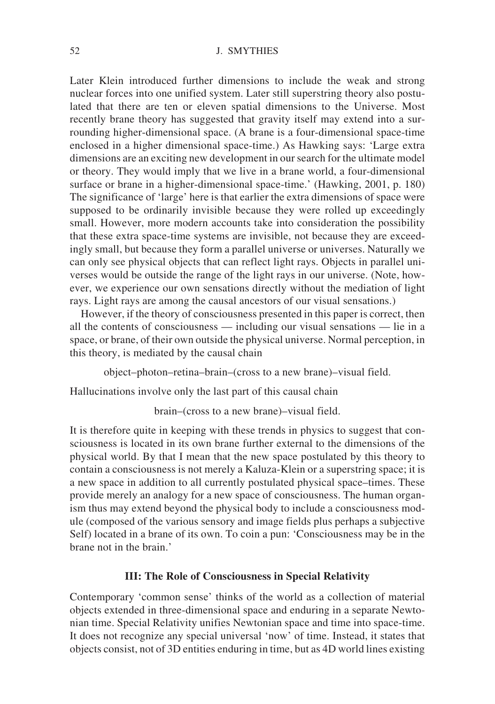#### 52 J. SMYTHIES

Later Klein introduced further dimensions to include the weak and strong nuclear forces into one unified system. Later still superstring theory also postulated that there are ten or eleven spatial dimensions to the Universe. Most recently brane theory has suggested that gravity itself may extend into a surrounding higher-dimensional space. (A brane is a four-dimensional space-time enclosed in a higher dimensional space-time.) As Hawking says: 'Large extra dimensions are an exciting new development in our search for the ultimate model or theory. They would imply that we live in a brane world, a four-dimensional surface or brane in a higher-dimensional space-time.' (Hawking, 2001, p. 180) The significance of 'large' here is that earlier the extra dimensions of space were supposed to be ordinarily invisible because they were rolled up exceedingly small. However, more modern accounts take into consideration the possibility that these extra space-time systems are invisible, not because they are exceedingly small, but because they form a parallel universe or universes. Naturally we can only see physical objects that can reflect light rays. Objects in parallel universes would be outside the range of the light rays in our universe. (Note, however, we experience our own sensations directly without the mediation of light rays. Light rays are among the causal ancestors of our visual sensations.)

However, if the theory of consciousness presented in this paper is correct, then all the contents of consciousness — including our visual sensations — lie in a space, or brane, of their own outside the physical universe. Normal perception, in this theory, is mediated by the causal chain

object–photon–retina–brain–(cross to a new brane)–visual field.

Hallucinations involve only the last part of this causal chain

brain–(cross to a new brane)–visual field.

It is therefore quite in keeping with these trends in physics to suggest that consciousness is located in its own brane further external to the dimensions of the physical world. By that I mean that the new space postulated by this theory to contain a consciousness is not merely a Kaluza-Klein or a superstring space; it is a new space in addition to all currently postulated physical space–times. These provide merely an analogy for a new space of consciousness. The human organism thus may extend beyond the physical body to include a consciousness module (composed of the various sensory and image fields plus perhaps a subjective Self) located in a brane of its own. To coin a pun: 'Consciousness may be in the brane not in the brain.'

# **III: The Role of Consciousness in Special Relativity**

Contemporary 'common sense' thinks of the world as a collection of material objects extended in three-dimensional space and enduring in a separate Newtonian time. Special Relativity unifies Newtonian space and time into space-time. It does not recognize any special universal 'now' of time. Instead, it states that objects consist, not of 3D entities enduring in time, but as 4D world lines existing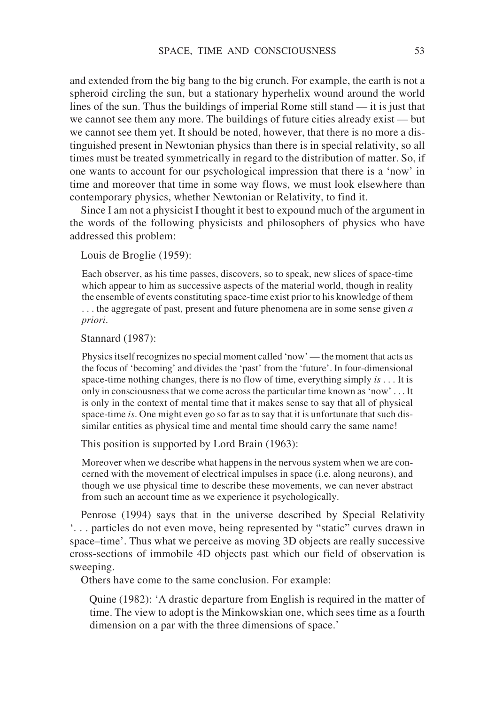and extended from the big bang to the big crunch. For example, the earth is not a spheroid circling the sun, but a stationary hyperhelix wound around the world lines of the sun. Thus the buildings of imperial Rome still stand — it is just that we cannot see them any more. The buildings of future cities already exist — but we cannot see them yet. It should be noted, however, that there is no more a distinguished present in Newtonian physics than there is in special relativity, so all times must be treated symmetrically in regard to the distribution of matter. So, if one wants to account for our psychological impression that there is a 'now' in time and moreover that time in some way flows, we must look elsewhere than contemporary physics, whether Newtonian or Relativity, to find it.

Since I am not a physicist I thought it best to expound much of the argument in the words of the following physicists and philosophers of physics who have addressed this problem:

Louis de Broglie (1959):

Each observer, as his time passes, discovers, so to speak, new slices of space-time which appear to him as successive aspects of the material world, though in reality the ensemble of events constituting space-time exist prior to his knowledge of them . . . the aggregate of past, present and future phenomena are in some sense given *a priori*.

Stannard (1987):

Physics itself recognizes no special moment called 'now' — the moment that acts as the focus of 'becoming' and divides the 'past' from the 'future'. In four-dimensional space-time nothing changes, there is no flow of time, everything simply *is* . . . It is only in consciousness that we come across the particular time known as 'now' . . . It is only in the context of mental time that it makes sense to say that all of physical space-time *is*. One might even go so far as to say that it is unfortunate that such dissimilar entities as physical time and mental time should carry the same name!

This position is supported by Lord Brain (1963):

Moreover when we describe what happens in the nervous system when we are concerned with the movement of electrical impulses in space (i.e. along neurons), and though we use physical time to describe these movements, we can never abstract from such an account time as we experience it psychologically.

Penrose (1994) says that in the universe described by Special Relativity '. . . particles do not even move, being represented by "static" curves drawn in space–time'. Thus what we perceive as moving 3D objects are really successive cross-sections of immobile 4D objects past which our field of observation is sweeping.

Others have come to the same conclusion. For example:

Quine (1982): 'A drastic departure from English is required in the matter of time. The view to adopt is the Minkowskian one, which sees time as a fourth dimension on a par with the three dimensions of space.'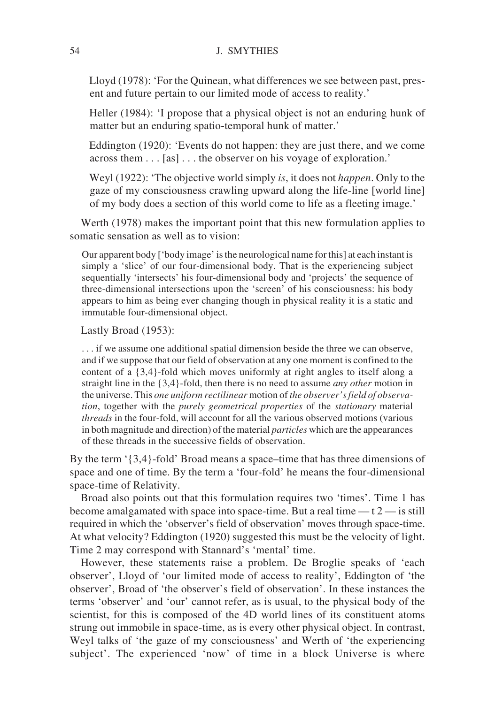Lloyd (1978): 'For the Quinean, what differences we see between past, present and future pertain to our limited mode of access to reality.'

Heller (1984): 'I propose that a physical object is not an enduring hunk of matter but an enduring spatio-temporal hunk of matter.'

Eddington (1920): 'Events do not happen: they are just there, and we come across them... [as] . . . the observer on his voyage of exploration.'

Weyl (1922): 'The objective world simply *is*, it does not *happen*. Only to the gaze of my consciousness crawling upward along the life-line [world line] of my body does a section of this world come to life as a fleeting image.'

Werth (1978) makes the important point that this new formulation applies to somatic sensation as well as to vision:

Our apparent body ['body image' is the neurological name for this] at each instant is simply a 'slice' of our four-dimensional body. That is the experiencing subject sequentially 'intersects' his four-dimensional body and 'projects' the sequence of three-dimensional intersections upon the 'screen' of his consciousness: his body appears to him as being ever changing though in physical reality it is a static and immutable four-dimensional object.

Lastly Broad (1953):

. . . if we assume one additional spatial dimension beside the three we can observe, and if we suppose that our field of observation at any one moment is confined to the content of a {3,4}-fold which moves uniformly at right angles to itself along a straight line in the {3,4}-fold, then there is no need to assume *any other* motion in the universe. This *one uniform rectilinear* motion of *the observer's field of observation*, together with the *purely geometrical properties* of the *stationary* material *threads* in the four-fold, will account for all the various observed motions (various in both magnitude and direction) of the material *particles* which are the appearances of these threads in the successive fields of observation.

By the term '{3,4}-fold' Broad means a space–time that has three dimensions of space and one of time. By the term a 'four-fold' he means the four-dimensional space-time of Relativity.

Broad also points out that this formulation requires two 'times'. Time 1 has become amalgamated with space into space-time. But a real time  $-t2$  — is still required in which the 'observer's field of observation' moves through space-time. At what velocity? Eddington (1920) suggested this must be the velocity of light. Time 2 may correspond with Stannard's 'mental' time.

However, these statements raise a problem. De Broglie speaks of 'each observer', Lloyd of 'our limited mode of access to reality', Eddington of 'the observer', Broad of 'the observer's field of observation'. In these instances the terms 'observer' and 'our' cannot refer, as is usual, to the physical body of the scientist, for this is composed of the 4D world lines of its constituent atoms strung out immobile in space-time, as is every other physical object. In contrast, Weyl talks of 'the gaze of my consciousness' and Werth of 'the experiencing subject'. The experienced 'now' of time in a block Universe is where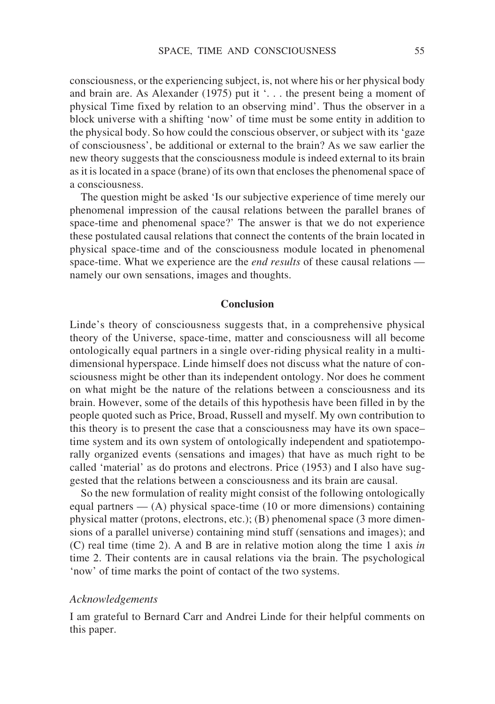consciousness, or the experiencing subject, is, not where his or her physical body and brain are. As Alexander (1975) put it '. . . the present being a moment of physical Time fixed by relation to an observing mind'. Thus the observer in a block universe with a shifting 'now' of time must be some entity in addition to the physical body. So how could the conscious observer, or subject with its 'gaze of consciousness', be additional or external to the brain? As we saw earlier the new theory suggests that the consciousness module is indeed external to its brain as it is located in a space (brane) of its own that encloses the phenomenal space of a consciousness.

The question might be asked 'Is our subjective experience of time merely our phenomenal impression of the causal relations between the parallel branes of space-time and phenomenal space?' The answer is that we do not experience these postulated causal relations that connect the contents of the brain located in physical space-time and of the consciousness module located in phenomenal space-time. What we experience are the *end results* of these causal relations namely our own sensations, images and thoughts.

#### **Conclusion**

Linde's theory of consciousness suggests that, in a comprehensive physical theory of the Universe, space-time, matter and consciousness will all become ontologically equal partners in a single over-riding physical reality in a multidimensional hyperspace. Linde himself does not discuss what the nature of consciousness might be other than its independent ontology. Nor does he comment on what might be the nature of the relations between a consciousness and its brain. However, some of the details of this hypothesis have been filled in by the people quoted such as Price, Broad, Russell and myself. My own contribution to this theory is to present the case that a consciousness may have its own space– time system and its own system of ontologically independent and spatiotemporally organized events (sensations and images) that have as much right to be called 'material' as do protons and electrons. Price (1953) and I also have suggested that the relations between a consciousness and its brain are causal.

So the new formulation of reality might consist of the following ontologically equal partners  $-$  (A) physical space-time (10 or more dimensions) containing physical matter (protons, electrons, etc.); (B) phenomenal space (3 more dimensions of a parallel universe) containing mind stuff (sensations and images); and (C) real time (time 2). A and B are in relative motion along the time 1 axis *in* time 2. Their contents are in causal relations via the brain. The psychological 'now' of time marks the point of contact of the two systems.

## *Acknowledgements*

I am grateful to Bernard Carr and Andrei Linde for their helpful comments on this paper.